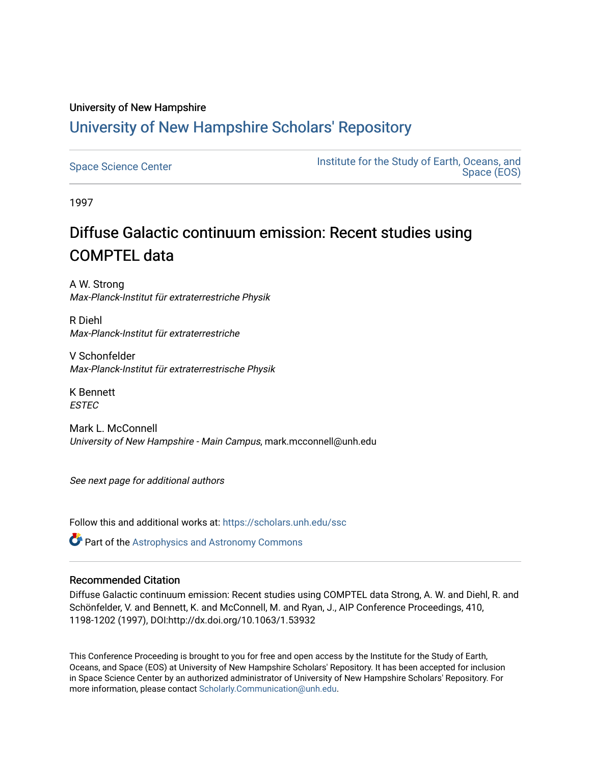# University of New Hampshire [University of New Hampshire Scholars' Repository](https://scholars.unh.edu/)

| <b>Space Science Center</b> | Institute for the Study of Earth, Oceans, and<br>Space (EOS) |
|-----------------------------|--------------------------------------------------------------|
|-----------------------------|--------------------------------------------------------------|

1997

# Diffuse Galactic continuum emission: Recent studies using COMPTEL data

A W. Strong Max-Planck-Institut für extraterrestriche Physik

R Diehl Max-Planck-Institut für extraterrestriche

V Schonfelder Max-Planck-Institut für extraterrestrische Physik

K Bennett **ESTEC** 

Mark L. McConnell University of New Hampshire - Main Campus, mark.mcconnell@unh.edu

See next page for additional authors

Follow this and additional works at: [https://scholars.unh.edu/ssc](https://scholars.unh.edu/ssc?utm_source=scholars.unh.edu%2Fssc%2F158&utm_medium=PDF&utm_campaign=PDFCoverPages)

**Part of the Astrophysics and Astronomy Commons** 

### Recommended Citation

Diffuse Galactic continuum emission: Recent studies using COMPTEL data Strong, A. W. and Diehl, R. and Schönfelder, V. and Bennett, K. and McConnell, M. and Ryan, J., AIP Conference Proceedings, 410, 1198-1202 (1997), DOI:http://dx.doi.org/10.1063/1.53932

This Conference Proceeding is brought to you for free and open access by the Institute for the Study of Earth, Oceans, and Space (EOS) at University of New Hampshire Scholars' Repository. It has been accepted for inclusion in Space Science Center by an authorized administrator of University of New Hampshire Scholars' Repository. For more information, please contact [Scholarly.Communication@unh.edu.](mailto:Scholarly.Communication@unh.edu)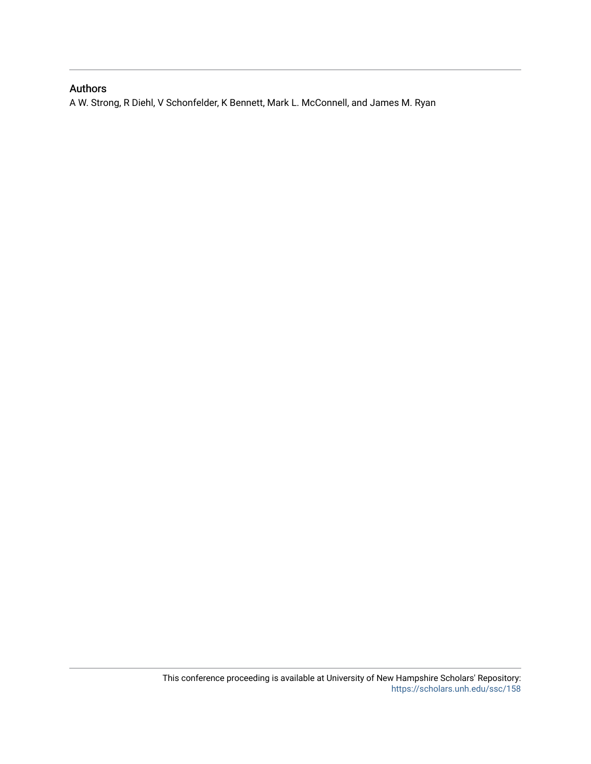## Authors

A W. Strong, R Diehl, V Schonfelder, K Bennett, Mark L. McConnell, and James M. Ryan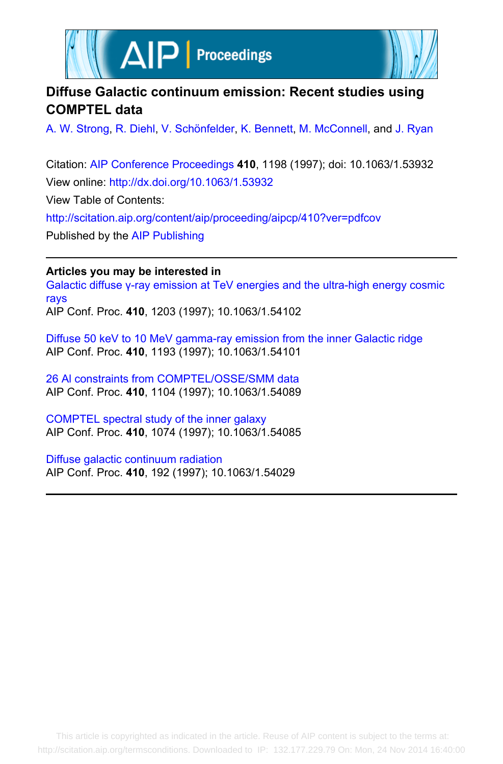



# **Diffuse Galactic continuum emission: Recent studies using COMPTEL data**

[A. W. Strong,](http://scitation.aip.org/search?value1=A.+W.+Strong&option1=author) [R. Diehl,](http://scitation.aip.org/search?value1=R.+Diehl&option1=author) [V. Schönfelder,](http://scitation.aip.org/search?value1=V.+Sch�nfelder&option1=author) [K. Bennett](http://scitation.aip.org/search?value1=K.+Bennett&option1=author), [M. McConnell,](http://scitation.aip.org/search?value1=M.+McConnell&option1=author) and [J. Ryan](http://scitation.aip.org/search?value1=J.+Ryan&option1=author)

Citation: [AIP Conference Proceedings](http://scitation.aip.org/content/aip/proceeding/aipcp?ver=pdfcov) **410**, 1198 (1997); doi: 10.1063/1.53932 View online: <http://dx.doi.org/10.1063/1.53932> View Table of Contents: <http://scitation.aip.org/content/aip/proceeding/aipcp/410?ver=pdfcov> Published by the [AIP Publishing](http://scitation.aip.org/content/aip?ver=pdfcov)

**Articles you may be interested in**

[Galactic diffuse γ-ray emission at TeV energies and the ultra-high energy cosmic](http://scitation.aip.org/content/aip/proceeding/aipcp/10.1063/1.54102?ver=pdfcov) [rays](http://scitation.aip.org/content/aip/proceeding/aipcp/10.1063/1.54102?ver=pdfcov)

AIP Conf. Proc. **410**, 1203 (1997); 10.1063/1.54102

[Diffuse 50 keV to 10 MeV gamma-ray emission from the inner Galactic ridge](http://scitation.aip.org/content/aip/proceeding/aipcp/10.1063/1.54101?ver=pdfcov) AIP Conf. Proc. **410**, 1193 (1997); 10.1063/1.54101

[26 Al constraints from COMPTEL/OSSE/SMM data](http://scitation.aip.org/content/aip/proceeding/aipcp/10.1063/1.54089?ver=pdfcov) AIP Conf. Proc. **410**, 1104 (1997); 10.1063/1.54089

[COMPTEL spectral study of the inner galaxy](http://scitation.aip.org/content/aip/proceeding/aipcp/10.1063/1.54085?ver=pdfcov) AIP Conf. Proc. **410**, 1074 (1997); 10.1063/1.54085

[Diffuse galactic continuum radiation](http://scitation.aip.org/content/aip/proceeding/aipcp/10.1063/1.54029?ver=pdfcov) AIP Conf. Proc. **410**, 192 (1997); 10.1063/1.54029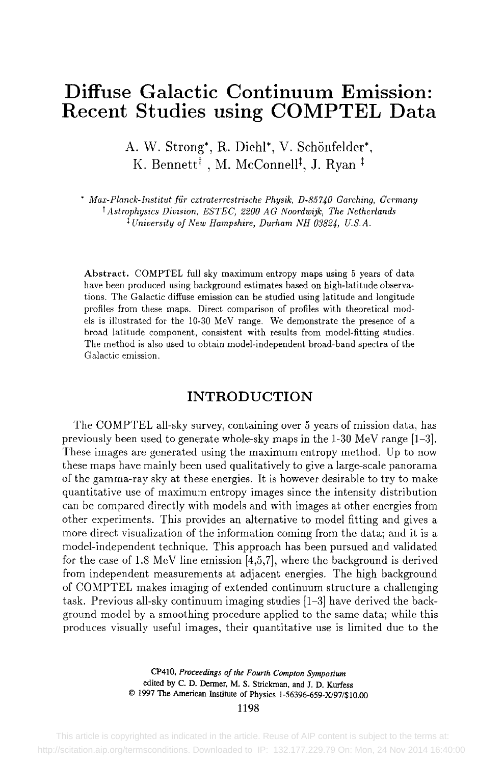# **Diffuse Galactic Continuum Emission: Recent Studies using COMPTEL Data**

A. W. Strong\*, R. Diehl\*, V. Schönfelder\*, K. Bennett<sup>†</sup>, M. McConnell<sup>‡</sup>, J. Ryan<sup>‡</sup>

*" Maz-Planck-Institut fiir extraterrestrische Physik, D-857~0 Garching, Germany t Astrophysics Diwsion, ESTEC, 2200 AG Noordwijk, The Netherlands University of New Hampshire, Durham NH 03824, U.S.A.* 

Abstract. COMPTEL full sky maximum entropy maps using 5 years of data have been produced using background estimates based on high-latitude observations. The Galactic diffuse emission can be studied using latitude and longitude profiles from these maps. Direct comparison of profiles with theoretical models is illustrated for the 10-30 MeV range. We demonstrate the presence of a broad latitude component, consistent with results from model-fitting studies. The method is also used to obtain model-independent broad-band spectra of the Galactic emission.

### **INTRODUCTION**

The COMPTEL all-sky survey, containing over 5 years of mission data, has previously been used to generate whole-sky maps in the 1-30 MeV range [1-3]. These images are generated using the maximum entropy method. Up to now these maps have mainly been used qualitatively to give a large-scale panorama of the gamma-ray sky at these energies. It is however desirable to try to make quantitative use of maximum entropy images since the intensity distribution can be compared directly with models and with images at other energies from other experiments. This provides an alternative to model fitting and gives a more direct visualization of the information coming from the data; and it is a model-independent technique. This approach has been pursued and validated for the case of 1.8 MeV line emission [4,5,7], where the background is derived from independent measurements at adjacent energies. The high background of COMPTEL makes imaging of extended continuum structure a challenging task. Previous all-sky continuum imaging studies [1-3] have derived the background model by a smoothing procedure applied to the same data; while this produces visually useful images, their quantitative use is limited due to the

> CP410, *Proceedings of the Fourth Compton Symposium*  edited by C. D. Dermer, M. S. Strickman, and J. D. Kurfess 9 1997 The American Institute of Physics 1-56396-659-X/97/\$10.00

> > 1198

 This article is copyrighted as indicated in the article. Reuse of AIP content is subject to the terms at: http://scitation.aip.org/termsconditions. Downloaded to IP: 132.177.229.79 On: Mon, 24 Nov 2014 16:40:00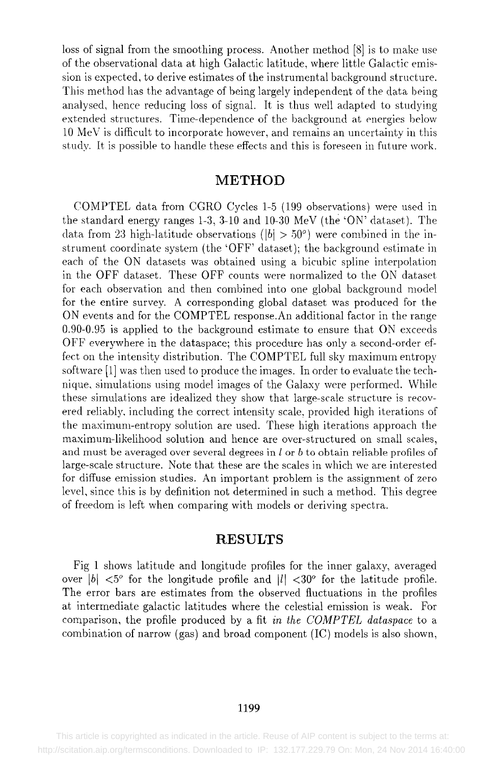loss of signal from the smoothing process. Another method [8] is to make use of the observational data at high Galactic latitude, where little Galactic emission is expected, to derive estimates of the instrumental background structure. This method has the advantage of being largely independent of the data. being analysed, hence reducing loss of signal. It is thus well adapted to studying extended structures. Time-dependence of the background at energies below 10 MeV is difficult to incorporate however, and remains an uncertainty in this study. It is possible to handle these effects and this is foreseen in future work.

#### **METHOD**

COMPTEL data from CGRO Cycles 1-5 (199 observations) were used in the standard energy ranges 1-3, 3-10 and 10-30 MeV (the 'ON' dataset). The data from 23 high-latitude observations ( $|b| > 50^{\circ}$ ) were combined in the instrument coordinate system (the 'OFF' dataset); the background estimate in each of the ON datasets was obtained using a bicubic spline interpolation in the OFF dataset. These OFF counts were normalized to the ON dataset for each observation and then combined into one global background model for the entire survey. A corresponding global dataset was produced for the ON events and for the COMPTEL response.An additional factor in the range 0.90-0.95 is applied to the background estimate to ensure that ON exceeds OFF everywhere in the dataspace; this procedure has only a second-order effect on the intensity distribution. The COMPTEL full sky maximum entropy software [1] was then used to produce the images. In order to evaluate the technique, simulations using model images of the Galaxy were performed. While these simulations are idealized they show that large-scale structure is recovered reliably, including the correct intensity scale, provided high iterations of the maximum-entropy solution are used. These high iterations approach the maximum-likelihood solution and hence are over-structured on small scales, and must be averaged over several degrees in  $l$  or  $b$  to obtain reliable profiles of large-scale structure. Note that these are the scales in which we are interested for diffuse emission studies. An important problem is the assignment of zero level, since this is by definition not determined in such a method. This degree of freedom is left when comparing with models or deriving spectra.

#### **RESULTS**

Fig 1 shows latitude and longitude profiles for the inner galaxy, averaged over  $|b| < 5^\circ$  for the longitude profile and  $|l| < 30^\circ$  for the latitude profile. The error bars are estimates from the observed fluctuations in the profiles at intermediate galactic latitudes where the celestial emission is weak. For comparison, the profile produced by a fit *in the COMPTEL dataspace* to a combination of narrow (gas) and broad component (IC) models is also shown,

#### 1199

 This article is copyrighted as indicated in the article. Reuse of AIP content is subject to the terms at: http://scitation.aip.org/termsconditions. Downloaded to IP: 132.177.229.79 On: Mon, 24 Nov 2014 16:40:00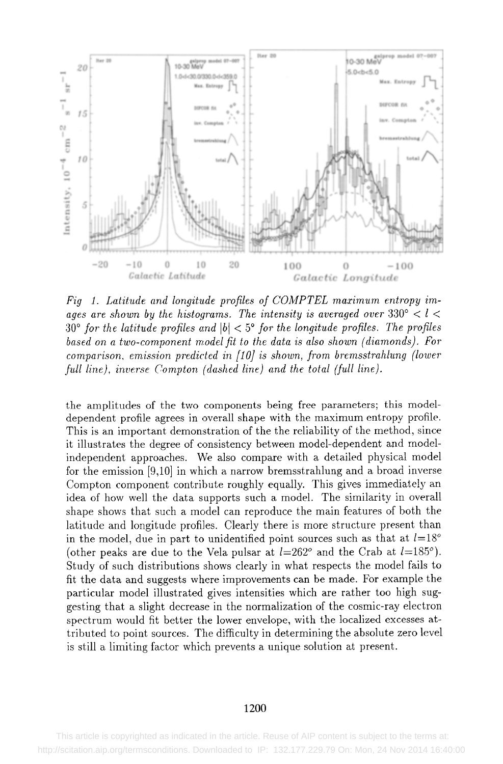

*Fig 1. Latitude and longitude profiles of COMPTEL maximum entropy iraages are shown by the histograms. The intensity is averaged over*  $330^{\circ} < l <$  $30^\circ$  for the latitude profiles and  $|b| < 5^\circ$  for the longitude profiles. The profiles *based on a two-component model fit to the data is also shown (diamonds). For comparison, emission predicted in [10] is shown, from bremsstrahlung (lower full line), inverse Compton (dashed line) and the total (full line).* 

the amplitudes of the two components being free parameters; this modeldependent profile agrees in overall shape with the maximum entropy profile. This is an important demonstration of the the reliability of the method, since it illustrates the degree of consistency between model-dependent and modelindependent approaches. We also compare with a detailed physical model for the emission [9,10] in which a narrow bremsstrahlung and a broad inverse Compton component contribute roughly equally. This gives immediately an idea of how well the data supports such a model. The similarity in overall shape shows that such a model can reproduce the main features of both the latitude and longitude profiles. Clearly there is more structure present than in the model, due in part to unidentified point sources such as that at  $l=18°$ (other peaks are due to the Vela pulsar at  $l=262^\circ$  and the Crab at  $l=185^\circ$ ). Study of such distributions shows clearly in what respects the model fails to fit the data and suggests where improvements can be made. For example the particular model illustrated gives intensities which are rather too high suggesting that a slight decrease in the normalization of the cosmic-ray electron spectrum would fit better the lower envelope, with the localized excesses attributed to point sources. The difficulty in determining the absolute zero level is still a limiting factor which prevents a unique solution at present.

#### 1200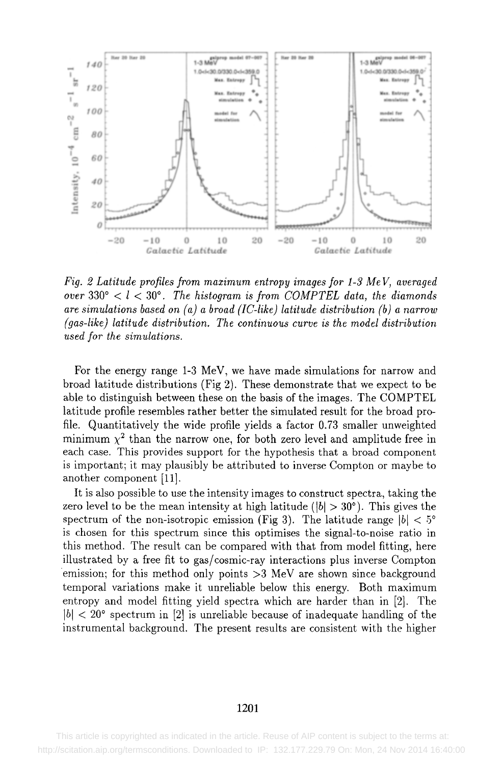

*Fig. 2 Latitude profiles from maximum entropy images for 1-3 Me V, averaged over*  $330^\circ < l < 30^\circ$ . The histogram is from COMPTEL data, the diamonds *are simulations based on (a) a broad (IC-like) latitude distribution (b) a narrow (gas-like) latitude distribution. The continuous curve is the model distribution used for the simulations.* 

For the energy range 1-3 MeV, we have made simulations for narrow and broad latitude distributions (Fig 2). These demonstrate that we expect to be able to distinguish between these on the basis of the images. The COMPTEL latitude profile resembles rather better the simulated result for the broad profile. Quantitatively the wide profile yields a factor 0.73 smaller unweighted minimum  $\chi^2$  than the narrow one, for both zero level and amplitude free in each case. This provides support for the hypothesis that a broad component is important; it may plausibly be attributed to inverse Compton or maybe to another component [11].

It is also possible to use the intensity images to construct spectra, taking the zero level to be the mean intensity at high latitude ( $|b| > 30^{\circ}$ ). This gives the spectrum of the non-isotropic emission (Fig 3). The latitude range  $|b| < 5^{\circ}$ is chosen for this spectrum since this optimises the signal-to-noise ratio in this method. The result can be compared with that from model fitting, here illustrated by a free fit to gas/cosmic-ray interactions plus inverse Compton emission; for this method only points  $>3$  MeV are shown since background temporal variations make it unreliable below this energy. Both maximum entropy and model fitting yield spectra which are harder than in [2]. The  $|b| < 20^{\circ}$  spectrum in [2] is unreliable because of inadequate handling of the instrumental background. The present results are consistent with the higher

#### 1201